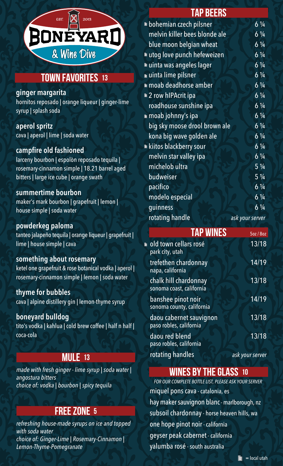

# **TOWN FAVORITES 13**

#### **ginger margarita**

hornitos reposado | orange liqueur | ginger-lime syrup | splash soda

**aperol spritz** cava | aperol | lime | soda water

### **campfire old fashioned**

larceny bourbon | espolòn reposado tequila | rosemary-cinnamon simple | 18.21 barrel aged bitters | large ice cube | orange swath

#### **summertime bourbon**

maker's mark bourbon | grapefruit | lemon | house simple | soda water

#### **powderkeg paloma**

tanteo jalapeño tequila | orange liqueur | grapefruit | lime | house simple | cava

#### **something about rosemary**

ketel one grapefruit & rose botanical vodka | aperol | rosemary-cinnamon simple | lemon | soda water

#### **thyme for bubbles**

cava | alpine distillery gin | lemon-thyme syrup

#### **boneyard bulldog**

tito's vodka | kahlua | cold brew coffee | half n half | coca-cola

## **MULE 13**

*made with fresh ginger - lime syrup | soda water | angostura bitters choice of: vodka | bourbon | spicy tequila*

# **free zone 5**

*refreshing house-made syrups on ice and topped with soda water choice of: Ginger-Lime | Rosemary-Cinnamon | Lemon-Thyme-Pomegranate*

## **tap beers**

|                               | $6\frac{1}{4}$                                                                                                                                                                                                                                             |
|-------------------------------|------------------------------------------------------------------------------------------------------------------------------------------------------------------------------------------------------------------------------------------------------------|
| melvin killer bees blonde ale | $6\frac{1}{4}$                                                                                                                                                                                                                                             |
| blue moon belgian wheat       | $6\frac{1}{4}$                                                                                                                                                                                                                                             |
|                               | $6\frac{1}{4}$                                                                                                                                                                                                                                             |
|                               | $6\frac{1}{4}$                                                                                                                                                                                                                                             |
|                               | $6\frac{1}{4}$                                                                                                                                                                                                                                             |
|                               | $6\frac{1}{4}$                                                                                                                                                                                                                                             |
|                               | $6\frac{1}{4}$                                                                                                                                                                                                                                             |
| roadhouse sunshine ipa        | $6\frac{1}{4}$                                                                                                                                                                                                                                             |
|                               | $6\frac{1}{4}$                                                                                                                                                                                                                                             |
|                               | $6\frac{1}{4}$                                                                                                                                                                                                                                             |
| kona big wave golden ale      | $6\frac{1}{4}$                                                                                                                                                                                                                                             |
|                               | $6\frac{1}{4}$                                                                                                                                                                                                                                             |
| melvin star valley ipa        | $6\frac{1}{4}$                                                                                                                                                                                                                                             |
| michelob ultra                | $5\frac{1}{4}$                                                                                                                                                                                                                                             |
| budweiser                     | $5\frac{1}{4}$                                                                                                                                                                                                                                             |
| pacifico                      | $6\frac{1}{4}$                                                                                                                                                                                                                                             |
| modelo especial               | $6\frac{1}{4}$                                                                                                                                                                                                                                             |
| guinness                      | $6\frac{1}{4}$                                                                                                                                                                                                                                             |
| rotating handle               | ask your server                                                                                                                                                                                                                                            |
|                               | ■ bohemian czech pilsner<br>■ utog love punch hefeweizen<br>uinta was angeles lager<br>uinta lime pilsner<br>$\blacksquare$ moab deadhorse amber<br>■ 2 row hIPAcrit ipa<br>m moab johnny's ipa<br>big sky moose drool brown ale<br>kiitos blackberry sour |

| <b>TAP WINES</b>                                        | 5oz / 8oz       |
|---------------------------------------------------------|-----------------|
| $\blacksquare$ old town cellars rosé<br>park city, utah | 13/18           |
| trefethen chardonnay<br>napa, california                | 14/19           |
| chalk hill chardonnay<br>sonoma coast, california       | 13/18           |
| banshee pinot noir<br>sonoma county, california         | 14/19           |
| daou cabernet sauvignon<br>paso robles, california      | 13/18           |
| daou red blend<br>paso robles, california               | 13/18           |
| rotating handles                                        | ask your server |

## **wines by the glass 10**

*FOR OUR COMPLETE BOTTLE LIST, PLEASE ASK YOUR SERVER* miquel pons cava - catalonia, es hay maker sauvignon blanc - marlborough, nz subsoil chardonnay - horse heaven hills, wa one hope pinot noir - california geyser peak cabernet - california yalumba rosé - south australia